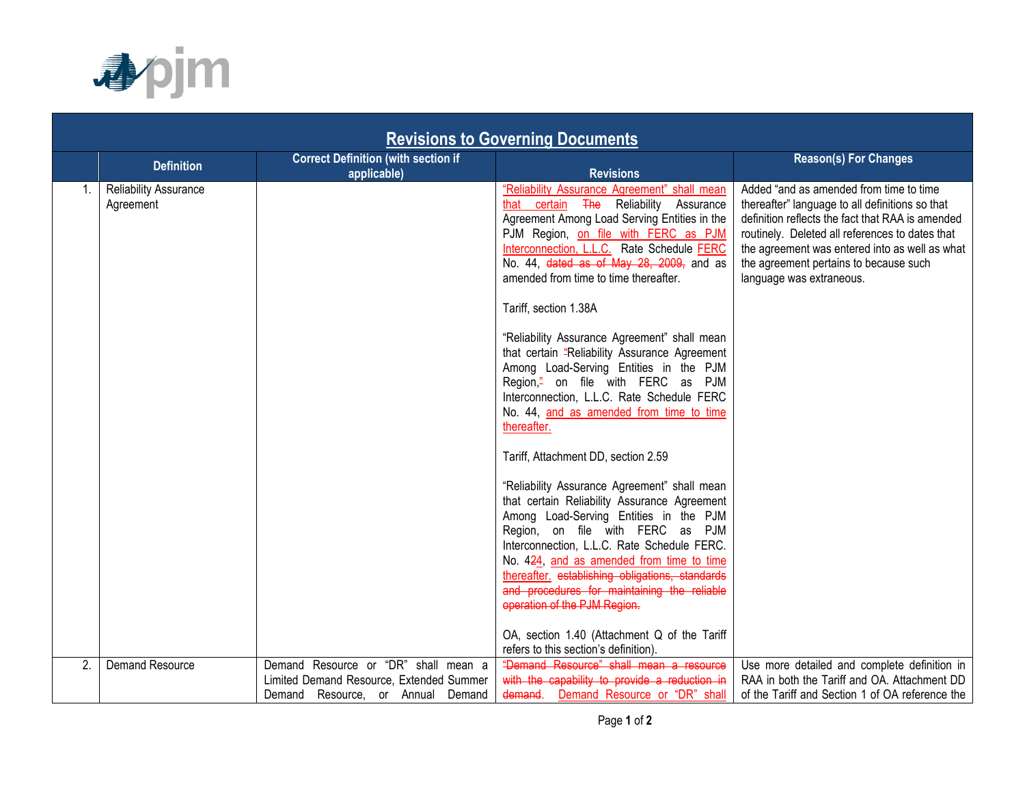

| <b>Revisions to Governing Documents</b> |                                    |                                                                                                                       |                                                                                                                                                                                                                                                                                                                                                                                                                                                                                                 |                                                                                                                                                                                                                                                                                                                           |  |  |  |
|-----------------------------------------|------------------------------------|-----------------------------------------------------------------------------------------------------------------------|-------------------------------------------------------------------------------------------------------------------------------------------------------------------------------------------------------------------------------------------------------------------------------------------------------------------------------------------------------------------------------------------------------------------------------------------------------------------------------------------------|---------------------------------------------------------------------------------------------------------------------------------------------------------------------------------------------------------------------------------------------------------------------------------------------------------------------------|--|--|--|
|                                         | <b>Definition</b>                  | <b>Correct Definition (with section if</b><br>applicable)                                                             | <b>Revisions</b>                                                                                                                                                                                                                                                                                                                                                                                                                                                                                | <b>Reason(s) For Changes</b>                                                                                                                                                                                                                                                                                              |  |  |  |
|                                         | Reliability Assurance<br>Agreement |                                                                                                                       | "Reliability Assurance Agreement" shall mean<br>that certain The Reliability Assurance<br>Agreement Among Load Serving Entities in the<br>PJM Region, on file with FERC as PJM<br>Interconnection, L.L.C. Rate Schedule FERC<br>No. 44, dated as of May 28, 2009, and as<br>amended from time to time thereafter.<br>Tariff, section 1.38A                                                                                                                                                      | Added "and as amended from time to time<br>thereafter" language to all definitions so that<br>definition reflects the fact that RAA is amended<br>routinely. Deleted all references to dates that<br>the agreement was entered into as well as what<br>the agreement pertains to because such<br>language was extraneous. |  |  |  |
|                                         |                                    |                                                                                                                       | "Reliability Assurance Agreement" shall mean<br>that certain "Reliability Assurance Agreement<br>Among Load-Serving Entities in the PJM<br>Region," on file with FERC as PJM<br>Interconnection, L.L.C. Rate Schedule FERC<br>No. 44, and as amended from time to time<br>thereafter.                                                                                                                                                                                                           |                                                                                                                                                                                                                                                                                                                           |  |  |  |
|                                         |                                    |                                                                                                                       | Tariff, Attachment DD, section 2.59<br>"Reliability Assurance Agreement" shall mean<br>that certain Reliability Assurance Agreement<br>Among Load-Serving Entities in the PJM<br>Region, on file with FERC as PJM<br>Interconnection, L.L.C. Rate Schedule FERC.<br>No. 424, and as amended from time to time<br>thereafter. establishing obligations, standards<br>and procedures for maintaining the reliable<br>operation of the PJM Region.<br>OA, section 1.40 (Attachment Q of the Tariff |                                                                                                                                                                                                                                                                                                                           |  |  |  |
| 2.                                      | Demand Resource                    | Demand Resource or "DR" shall mean a<br>Limited Demand Resource, Extended Summer<br>Demand Resource, or Annual Demand | refers to this section's definition).<br>"Demand Resource" shall mean a resource<br>with the capability to provide a reduction in<br>demand. Demand Resource or "DR" shall                                                                                                                                                                                                                                                                                                                      | Use more detailed and complete definition in<br>RAA in both the Tariff and OA. Attachment DD<br>of the Tariff and Section 1 of OA reference the                                                                                                                                                                           |  |  |  |